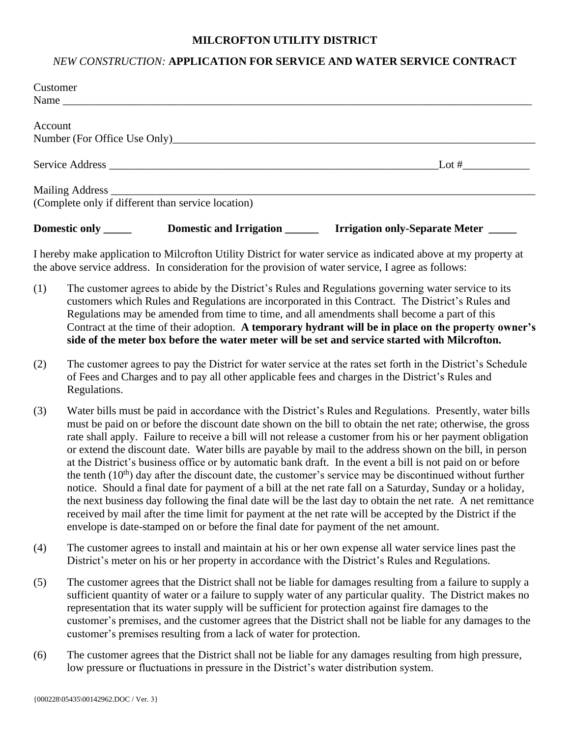## **MILCROFTON UTILITY DISTRICT**

## *NEW CONSTRUCTION:* **APPLICATION FOR SERVICE AND WATER SERVICE CONTRACT**

| Customer |                                                    |                                                                                                                |
|----------|----------------------------------------------------|----------------------------------------------------------------------------------------------------------------|
|          |                                                    |                                                                                                                |
| Account  |                                                    |                                                                                                                |
|          |                                                    |                                                                                                                |
|          |                                                    |                                                                                                                |
|          |                                                    |                                                                                                                |
|          | (Complete only if different than service location) |                                                                                                                |
|          |                                                    |                                                                                                                |
|          |                                                    | I hereby make application to Milcrofton Hility District for water service as indicated above at my property at |

I hereby make application to Milcrofton Utility District for water service as indicated above at my property at the above service address. In consideration for the provision of water service, I agree as follows:

- (1) The customer agrees to abide by the District's Rules and Regulations governing water service to its customers which Rules and Regulations are incorporated in this Contract. The District's Rules and Regulations may be amended from time to time, and all amendments shall become a part of this Contract at the time of their adoption. **A temporary hydrant will be in place on the property owner's side of the meter box before the water meter will be set and service started with Milcrofton.**
- (2) The customer agrees to pay the District for water service at the rates set forth in the District's Schedule of Fees and Charges and to pay all other applicable fees and charges in the District's Rules and Regulations.
- (3) Water bills must be paid in accordance with the District's Rules and Regulations. Presently, water bills must be paid on or before the discount date shown on the bill to obtain the net rate; otherwise, the gross rate shall apply. Failure to receive a bill will not release a customer from his or her payment obligation or extend the discount date. Water bills are payable by mail to the address shown on the bill, in person at the District's business office or by automatic bank draft. In the event a bill is not paid on or before the tenth  $(10<sup>th</sup>)$  day after the discount date, the customer's service may be discontinued without further notice. Should a final date for payment of a bill at the net rate fall on a Saturday, Sunday or a holiday, the next business day following the final date will be the last day to obtain the net rate. A net remittance received by mail after the time limit for payment at the net rate will be accepted by the District if the envelope is date-stamped on or before the final date for payment of the net amount.
- (4) The customer agrees to install and maintain at his or her own expense all water service lines past the District's meter on his or her property in accordance with the District's Rules and Regulations.
- (5) The customer agrees that the District shall not be liable for damages resulting from a failure to supply a sufficient quantity of water or a failure to supply water of any particular quality. The District makes no representation that its water supply will be sufficient for protection against fire damages to the customer's premises, and the customer agrees that the District shall not be liable for any damages to the customer's premises resulting from a lack of water for protection.
- (6) The customer agrees that the District shall not be liable for any damages resulting from high pressure, low pressure or fluctuations in pressure in the District's water distribution system.